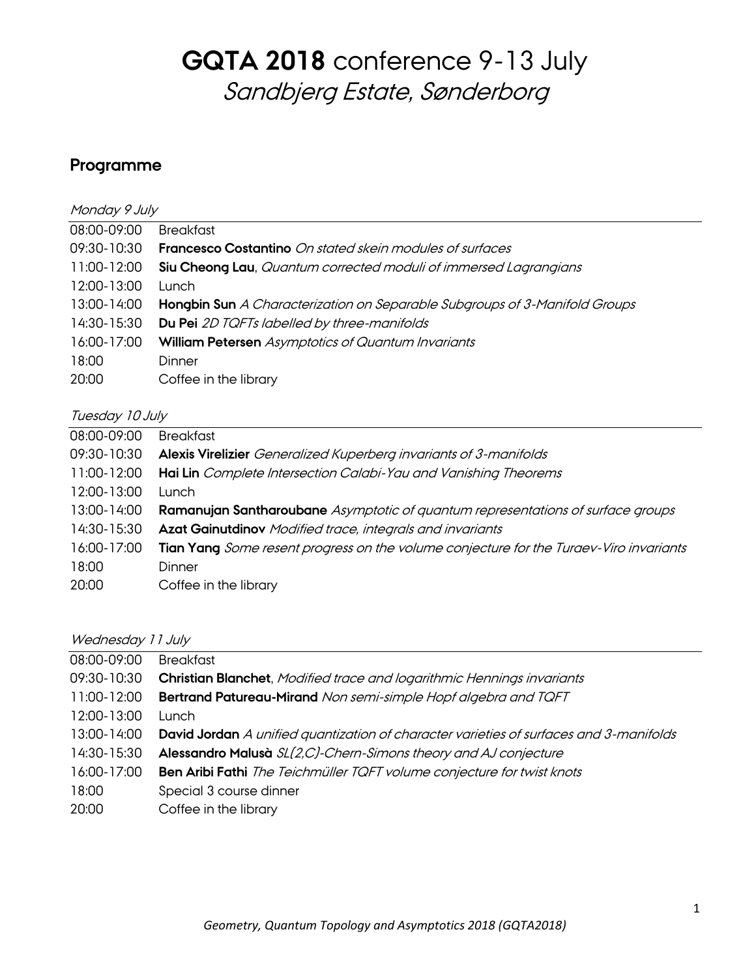### **Programme**

| Monday 9 July |                                                                            |  |
|---------------|----------------------------------------------------------------------------|--|
| 08:00-09:00   | <b>Breakfast</b>                                                           |  |
| 09:30-10:30   | <b>Francesco Costantino</b> On stated skein modules of surfaces            |  |
| 11:00-12:00   | <b>Siu Cheong Lau, Quantum corrected moduli of immersed Lagrangians</b>    |  |
| 12:00-13:00   | Lunch                                                                      |  |
| 13:00-14:00   | Hongbin Sun A Characterization on Separable Subgroups of 3-Manifold Groups |  |
| 14:30-15:30   | Du Pei 2D TQFTs labelled by three-manifolds                                |  |
| 16:00-17:00   | <b>William Petersen</b> Asymptotics of Quantum Invariants                  |  |
| 18:00         | Dinner                                                                     |  |
| 20:00         | Coffee in the library                                                      |  |
|               |                                                                            |  |

### Tuesday 10 July

| 08:00-09:00 | <b>Breakfast</b>                                                                       |
|-------------|----------------------------------------------------------------------------------------|
| 09:30-10:30 | Alexis Virelizier Generalized Kuperberg invariants of 3-manifolds                      |
| 11:00-12:00 | Hai Lin Complete Intersection Calabi-Yau and Vanishing Theorems                        |
| 12:00-13:00 | Lunch.                                                                                 |
| 13:00-14:00 | Ramanujan Santharoubane Asymptotic of quantum representations of surface groups        |
| 14:30-15:30 | <b>Azat Gainutdinov</b> Modified trace, integrals and invariants                       |
| 16:00-17:00 | Tian Yang Some resent progress on the volume conjecture for the Turaev-Viro invariants |
| 18:00       | Dinner                                                                                 |
| 20:00       | Coffee in the library                                                                  |

### Wednesday 11 July

| 08:00-09:00 | <b>Breakfast</b>                                                                              |
|-------------|-----------------------------------------------------------------------------------------------|
| 09:30-10:30 | <b>Christian Blanchet</b> , Modified trace and logarithmic Hennings invariants                |
| 11:00-12:00 | <b>Bertrand Patureau-Mirand</b> Non semi-simple Hopf algebra and TQFT                         |
| 12:00-13:00 | Lunch.                                                                                        |
| 13:00-14:00 | <b>David Jordan</b> A unified quantization of character varieties of surfaces and 3-manifolds |
| 14:30-15:30 | Alessandro Malusà SL(2,C)-Chern-Simons theory and AJ conjecture                               |
| 16:00-17:00 | Ben Aribi Fathi The Teichmüller TQFT volume conjecture for twist knots                        |
| 18:00       | Special 3 course dinner                                                                       |
| 20:00       | Coffee in the library                                                                         |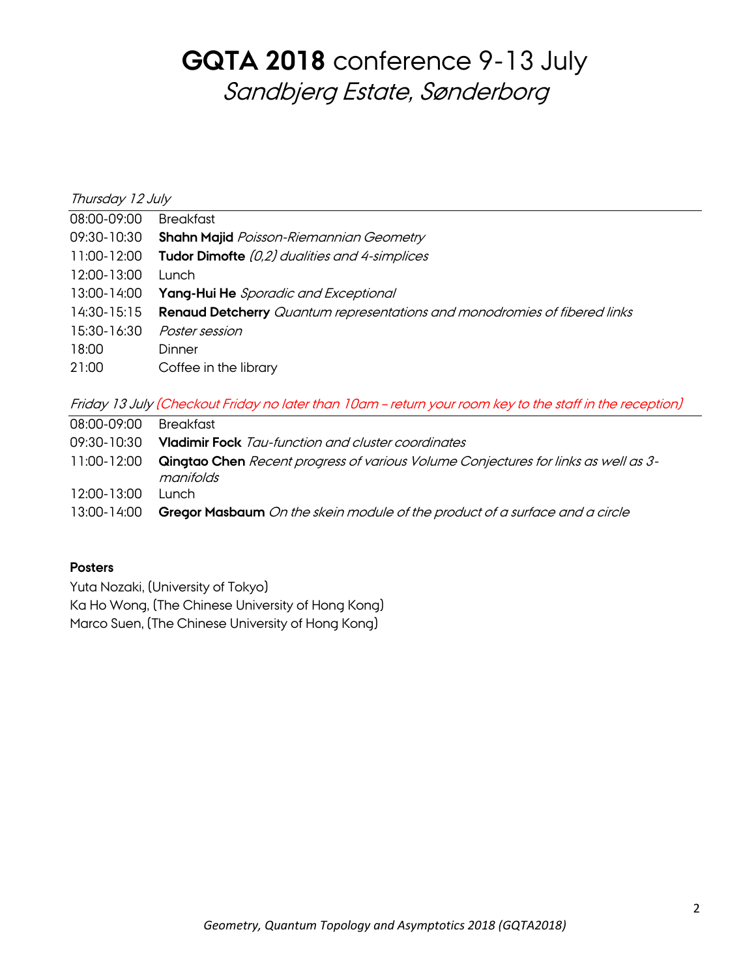| Thursday 12 July |                                                                           |  |
|------------------|---------------------------------------------------------------------------|--|
| 08:00-09:00      | <b>Breakfast</b>                                                          |  |
| 09:30-10:30      | <b>Shahn Majid</b> Poisson-Riemannian Geometry                            |  |
| 11:00-12:00      | Tudor Dimofte (0,2) dualities and 4-simplices                             |  |
| 12:00-13:00      | Lunch.                                                                    |  |
| 13:00-14:00      | <b>Yang-Hui He</b> Sporadic and Exceptional                               |  |
| 14:30-15:15      | Renaud Detcherry Quantum representations and monodromies of fibered links |  |
| 15:30-16:30      | Poster session                                                            |  |
| 18:00            | Dinner                                                                    |  |
| 21:00            | Coffee in the library                                                     |  |
|                  |                                                                           |  |

Friday 13 July (Checkout Friday no later than 10am – return your room key to the staff in the reception)

- 08:00-09:00 Breakfast
- 09:30-10:30 **Vladimir Fock** Tau-function and cluster coordinates
- 11:00-12:00 **Qingtao Chen** Recent progress of various Volume Conjectures for links as well as 3 manifolds
- 12:00-13:00 Lunch
- 13:00-14:00 **Gregor Masbaum** On the skein module of the product of a surface and a circle

### **Posters**

Yuta Nozaki, (University of Tokyo)

Ka Ho Wong, (The Chinese University of Hong Kong)

Marco Suen, (The Chinese University of Hong Kong)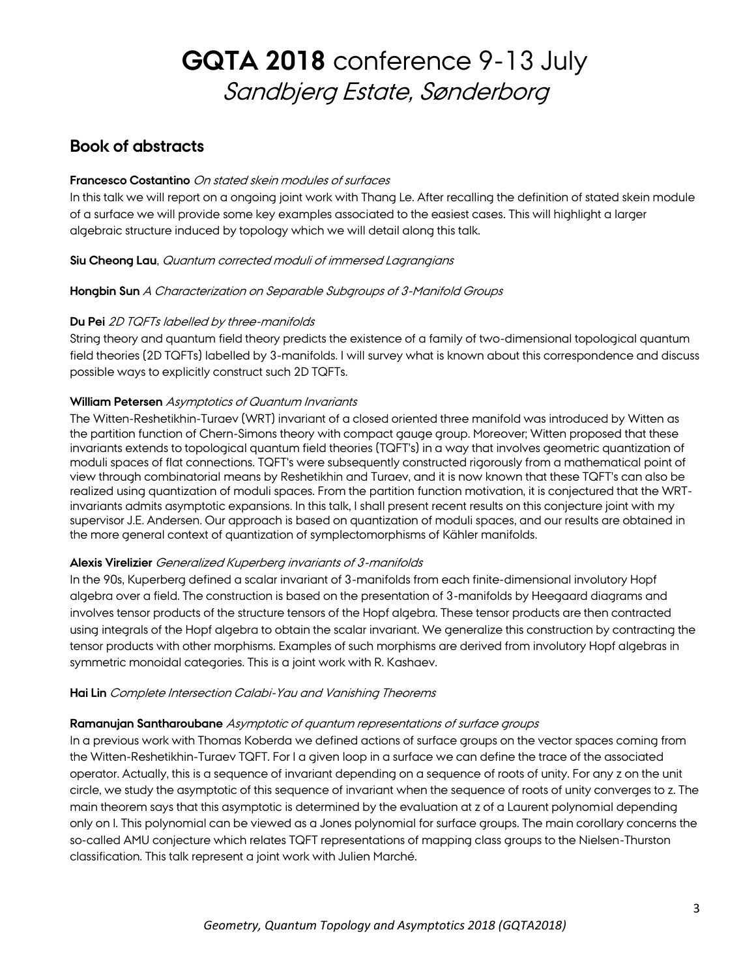### **Book of abstracts**

#### **Francesco Costantino** On stated skein modules of surfaces

In this talk we will report on a ongoing joint work with Thang Le. After recalling the definition of stated skein module of a surface we will provide some key examples associated to the easiest cases. This will highlight a larger algebraic structure induced by topology which we will detail along this talk.

#### **Siu Cheong Lau**, Quantum corrected moduli of immersed Lagrangians

#### **Hongbin Sun** A Characterization on Separable Subgroups of 3-Manifold Groups

#### **Du Pei** 2D TQFTs labelled by three-manifolds

String theory and quantum field theory predicts the existence of a family of two-dimensional topological quantum field theories (2D TQFTs) labelled by 3-manifolds. I will survey what is known about this correspondence and discuss possible ways to explicitly construct such 2D TQFTs.

#### **William Petersen** Asymptotics of Quantum Invariants

The Witten-Reshetikhin-Turaev (WRT) invariant of a closed oriented three manifold was introduced by Witten as the partition function of Chern-Simons theory with compact gauge group. Moreover; Witten proposed that these invariants extends to topological quantum field theories (TQFT's) in a way that involves geometric quantization of moduli spaces of flat connections. TQFT's were subsequently constructed rigorously from a mathematical point of view through combinatorial means by Reshetikhin and Turaev, and it is now known that these TQFT's can also be realized using quantization of moduli spaces. From the partition function motivation, it is conjectured that the WRTinvariants admits asymptotic expansions. In this talk, I shall present recent results on this conjecture joint with my supervisor J.E. Andersen. Our approach is based on quantization of moduli spaces, and our results are obtained in the more general context of quantization of symplectomorphisms of Kähler manifolds.

#### **Alexis Virelizier** Generalized Kuperberg invariants of 3-manifolds

In the 90s, Kuperberg defined a scalar invariant of 3-manifolds from each finite-dimensional involutory Hopf algebra over a field. The construction is based on the presentation of 3-manifolds by Heegaard diagrams and involves tensor products of the structure tensors of the Hopf algebra. These tensor products are then contracted using integrals of the Hopf algebra to obtain the scalar invariant. We generalize this construction by contracting the tensor products with other morphisms. Examples of such morphisms are derived from involutory Hopf algebras in symmetric monoidal categories. This is a joint work with R. Kashaev.

#### **Hai Lin** Complete Intersection Calabi-Yau and Vanishing Theorems

#### **Ramanujan Santharoubane** Asymptotic of quantum representations of surface groups

In a previous work with Thomas Koberda we defined actions of surface groups on the vector spaces coming from the Witten-Reshetikhin-Turaev TQFT. For l a given loop in a surface we can define the trace of the associated operator. Actually, this is a sequence of invariant depending on a sequence of roots of unity. For any z on the unit circle, we study the asymptotic of this sequence of invariant when the sequence of roots of unity converges to z. The main theorem says that this asymptotic is determined by the evaluation at z of a Laurent polynomial depending only on l. This polynomial can be viewed as a Jones polynomial for surface groups. The main corollary concerns the so-called AMU conjecture which relates TQFT representations of mapping class groups to the Nielsen-Thurston classification. This talk represent a joint work with Julien Marché.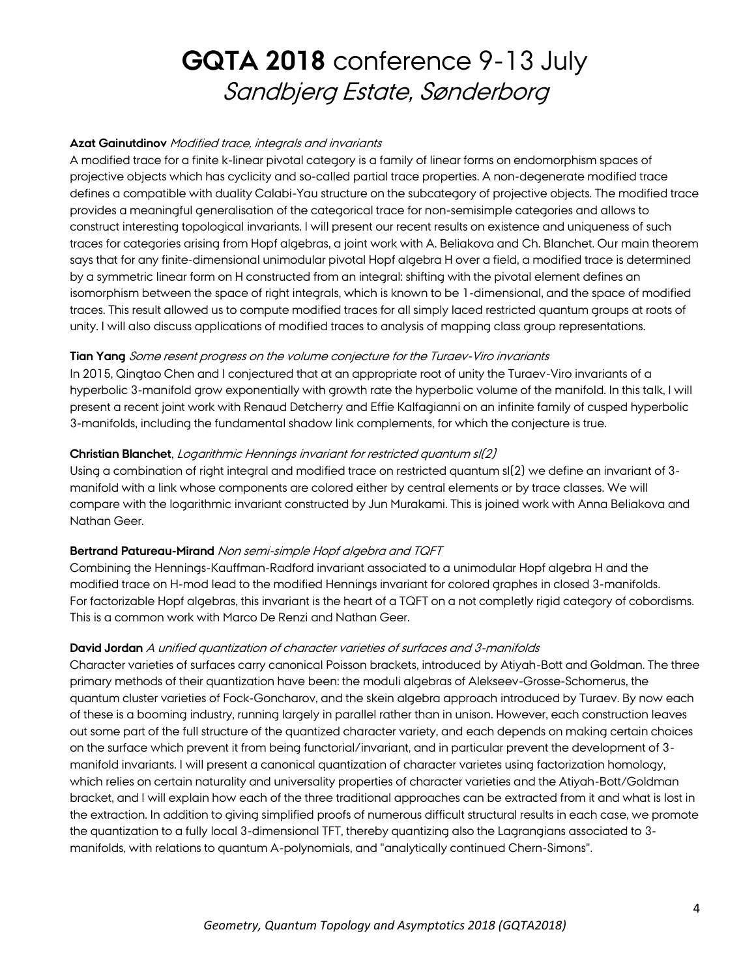#### **Azat Gainutdinov** Modified trace, integrals and invariants

A modified trace for a finite k-linear pivotal category is a family of linear forms on endomorphism spaces of projective objects which has cyclicity and so-called partial trace properties. A non-degenerate modified trace defines a compatible with duality Calabi-Yau structure on the subcategory of projective objects. The modified trace provides a meaningful generalisation of the categorical trace for non-semisimple categories and allows to construct interesting topological invariants. I will present our recent results on existence and uniqueness of such traces for categories arising from Hopf algebras, a joint work with A. Beliakova and Ch. Blanchet. Our main theorem says that for any finite-dimensional unimodular pivotal Hopf algebra H over a field, a modified trace is determined by a symmetric linear form on H constructed from an integral: shifting with the pivotal element defines an isomorphism between the space of right integrals, which is known to be 1-dimensional, and the space of modified traces. This result allowed us to compute modified traces for all simply laced restricted quantum groups at roots of unity. I will also discuss applications of modified traces to analysis of mapping class group representations.

#### **Tian Yang** Some resent progress on the volume conjecture for the Turaev-Viro invariants

In 2015, Qingtao Chen and I conjectured that at an appropriate root of unity the Turaev-Viro invariants of a hyperbolic 3-manifold grow exponentially with growth rate the hyperbolic volume of the manifold. In this talk, I will present a recent joint work with Renaud Detcherry and Effie Kalfagianni on an infinite family of cusped hyperbolic 3-manifolds, including the fundamental shadow link complements, for which the conjecture is true.

#### **Christian Blanchet**, Logarithmic Hennings invariant for restricted quantum sl(2)

Using a combination of right integral and modified trace on restricted quantum sl(2) we define an invariant of 3 manifold with a link whose components are colored either by central elements or by trace classes. We will compare with the logarithmic invariant constructed by Jun Murakami. This is joined work with Anna Beliakova and Nathan Geer.

#### **Bertrand Patureau-Mirand** Non semi-simple Hopf algebra and TQFT

Combining the Hennings-Kauffman-Radford invariant associated to a unimodular Hopf algebra H and the modified trace on H-mod lead to the modified Hennings invariant for colored graphes in closed 3-manifolds. For factorizable Hopf algebras, this invariant is the heart of a TQFT on a not completly rigid category of cobordisms. This is a common work with Marco De Renzi and Nathan Geer.

### **David Jordan** A unified quantization of character varieties of surfaces and 3-manifolds

Character varieties of surfaces carry canonical Poisson brackets, introduced by Atiyah-Bott and Goldman. The three primary methods of their quantization have been: the moduli algebras of Alekseev-Grosse-Schomerus, the quantum cluster varieties of Fock-Goncharov, and the skein algebra approach introduced by Turaev. By now each of these is a booming industry, running largely in parallel rather than in unison. However, each construction leaves out some part of the full structure of the quantized character variety, and each depends on making certain choices on the surface which prevent it from being functorial/invariant, and in particular prevent the development of 3 manifold invariants. I will present a canonical quantization of character varietes using factorization homology, which relies on certain naturality and universality properties of character varieties and the Atiyah-Bott/Goldman bracket, and I will explain how each of the three traditional approaches can be extracted from it and what is lost in the extraction. In addition to giving simplified proofs of numerous difficult structural results in each case, we promote the quantization to a fully local 3-dimensional TFT, thereby quantizing also the Lagrangians associated to 3 manifolds, with relations to quantum A-polynomials, and "analytically continued Chern-Simons".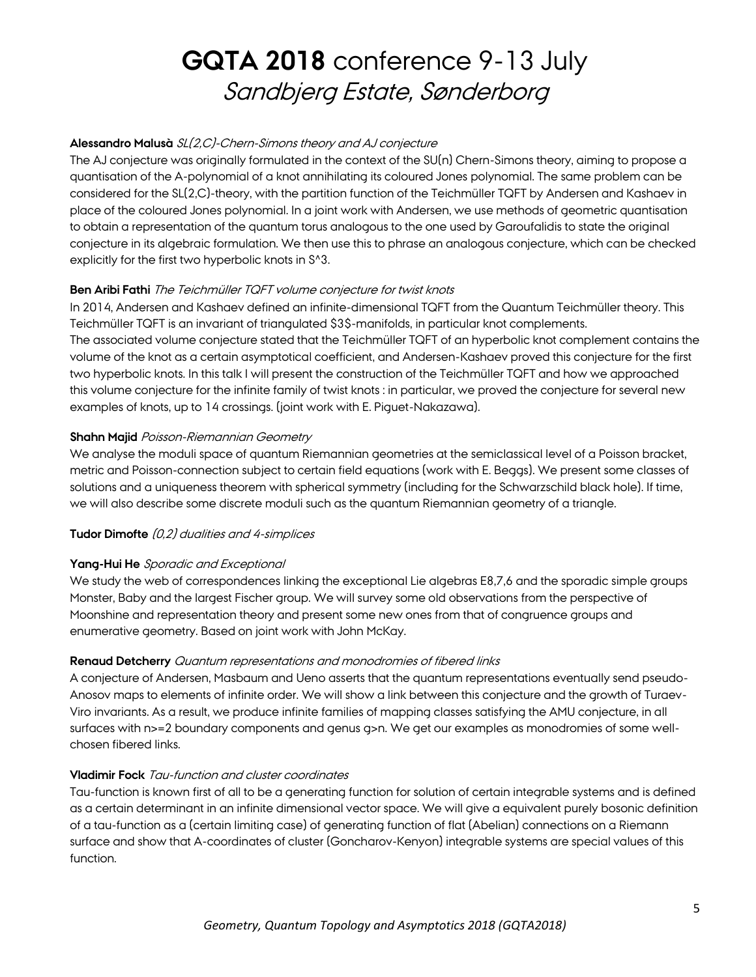#### **Alessandro Malusà** SL(2,C)-Chern-Simons theory and AJ conjecture

The AJ conjecture was originally formulated in the context of the SU(n) Chern-Simons theory, aiming to propose a quantisation of the A-polynomial of a knot annihilating its coloured Jones polynomial. The same problem can be considered for the SL(2,C)-theory, with the partition function of the Teichmüller TQFT by Andersen and Kashaev in place of the coloured Jones polynomial. In a joint work with Andersen, we use methods of geometric quantisation to obtain a representation of the quantum torus analogous to the one used by Garoufalidis to state the original conjecture in its algebraic formulation. We then use this to phrase an analogous conjecture, which can be checked explicitly for the first two hyperbolic knots in S^3.

#### **Ben Aribi Fathi** The Teichmüller TQFT volume conjecture for twist knots

In 2014, Andersen and Kashaev defined an infinite-dimensional TQFT from the Quantum Teichmüller theory. This Teichmüller TQFT is an invariant of triangulated \$3\$-manifolds, in particular knot complements. The associated volume conjecture stated that the Teichmüller TQFT of an hyperbolic knot complement contains the volume of the knot as a certain asymptotical coefficient, and Andersen-Kashaev proved this conjecture for the first two hyperbolic knots. In this talk I will present the construction of the Teichmüller TQFT and how we approached this volume conjecture for the infinite family of twist knots : in particular, we proved the conjecture for several new examples of knots, up to 14 crossings. (joint work with E. Piguet-Nakazawa).

#### **Shahn Majid** Poisson-Riemannian Geometry

We analyse the moduli space of quantum Riemannian geometries at the semiclassical level of a Poisson bracket, metric and Poisson-connection subject to certain field equations (work with E. Beggs). We present some classes of solutions and a uniqueness theorem with spherical symmetry (including for the Schwarzschild black hole). If time, we will also describe some discrete moduli such as the quantum Riemannian geometry of a triangle.

#### **Tudor Dimofte** (0,2) dualities and 4-simplices

#### **Yang-Hui He** Sporadic and Exceptional

We study the web of correspondences linking the exceptional Lie algebras E8,7,6 and the sporadic simple groups Monster, Baby and the largest Fischer group. We will survey some old observations from the perspective of Moonshine and representation theory and present some new ones from that of congruence groups and enumerative geometry. Based on joint work with John McKay.

#### **Renaud Detcherry** Quantum representations and monodromies of fibered links

A conjecture of Andersen, Masbaum and Ueno asserts that the quantum representations eventually send pseudo-Anosov maps to elements of infinite order. We will show a link between this conjecture and the growth of Turaev-Viro invariants. As a result, we produce infinite families of mapping classes satisfying the AMU conjecture, in all surfaces with n>=2 boundary components and genus g>n. We get our examples as monodromies of some wellchosen fibered links.

#### **Vladimir Fock** Tau-function and cluster coordinates

Tau-function is known first of all to be a generating function for solution of certain integrable systems and is defined as a certain determinant in an infinite dimensional vector space. We will give a equivalent purely bosonic definition of a tau-function as a (certain limiting case) of generating function of flat (Abelian) connections on a Riemann surface and show that A-coordinates of cluster (Goncharov-Kenyon) integrable systems are special values of this function.